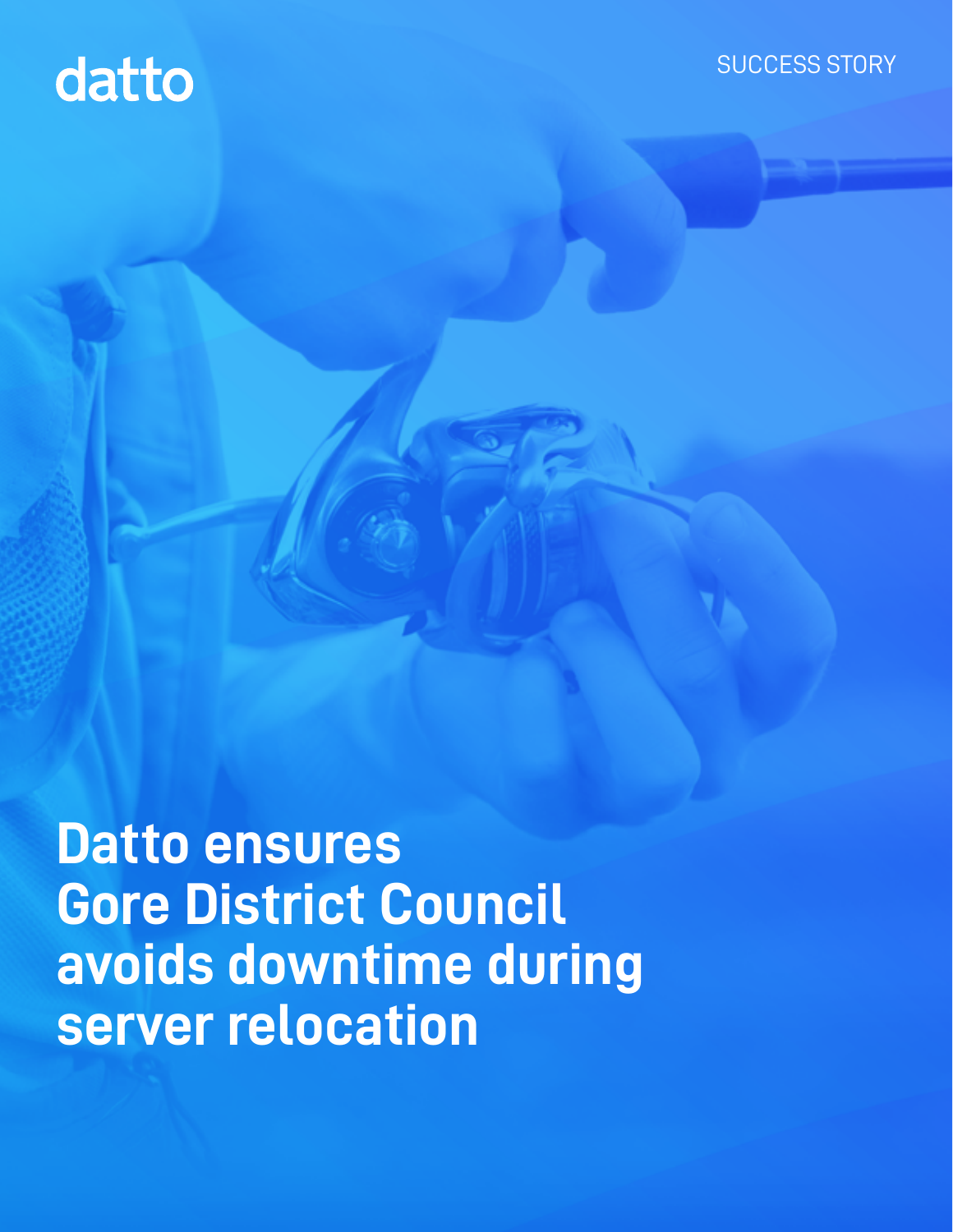## datto

**Datto ensures Gore District Council avoids downtime during server relocation**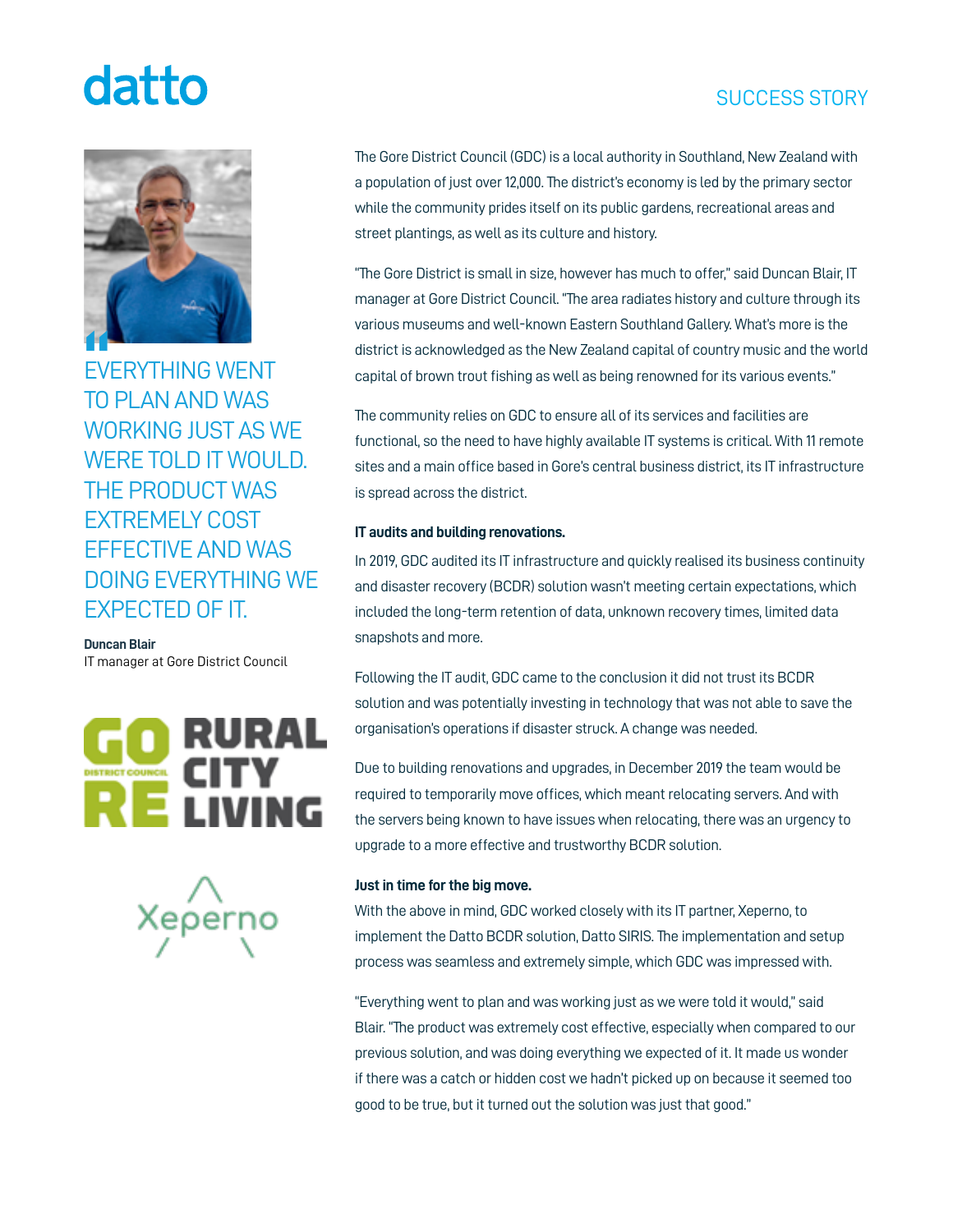## datto

**"** EVERYTHING WENT TO PLAN AND WAS WORKING JUST AS WE WERE TOLD IT WOULD. THE PRODUCT WAS EXTREMELY COST

EFFECTIVE AND WAS DOING EVERYTHING WE EXPECTED OF IT.

### **Duncan Blair**

IT manager at Gore District Council





The Gore District Council (GDC) is a local authority in Southland, New Zealand with a population of just over 12,000. The district's economy is led by the primary sector while the community prides itself on its public gardens, recreational areas and street plantings, as well as its culture and history.

"The Gore District is small in size, however has much to offer," said Duncan Blair, IT manager at Gore District Council. "The area radiates history and culture through its various museums and well-known Eastern Southland Gallery. What's more is the district is acknowledged as the New Zealand capital of country music and the world capital of brown trout fishing as well as being renowned for its various events."

The community relies on GDC to ensure all of its services and facilities are functional, so the need to have highly available IT systems is critical. With 11 remote sites and a main office based in Gore's central business district, its IT infrastructure is spread across the district.

### **IT audits and building renovations.**

In 2019, GDC audited its IT infrastructure and quickly realised its business continuity and disaster recovery (BCDR) solution wasn't meeting certain expectations, which included the long-term retention of data, unknown recovery times, limited data snapshots and more.

Following the IT audit, GDC came to the conclusion it did not trust its BCDR solution and was potentially investing in technology that was not able to save the organisation's operations if disaster struck. A change was needed.

Due to building renovations and upgrades, in December 2019 the team would be required to temporarily move offices, which meant relocating servers. And with the servers being known to have issues when relocating, there was an urgency to upgrade to a more effective and trustworthy BCDR solution.

### **Just in time for the big move.**

With the above in mind, GDC worked closely with its IT partner, Xeperno, to implement the Datto BCDR solution, Datto SIRIS. The implementation and setup process was seamless and extremely simple, which GDC was impressed with.

"Everything went to plan and was working just as we were told it would," said Blair. "The product was extremely cost effective, especially when compared to our previous solution, and was doing everything we expected of it. It made us wonder if there was a catch or hidden cost we hadn't picked up on because it seemed too good to be true, but it turned out the solution was just that good."